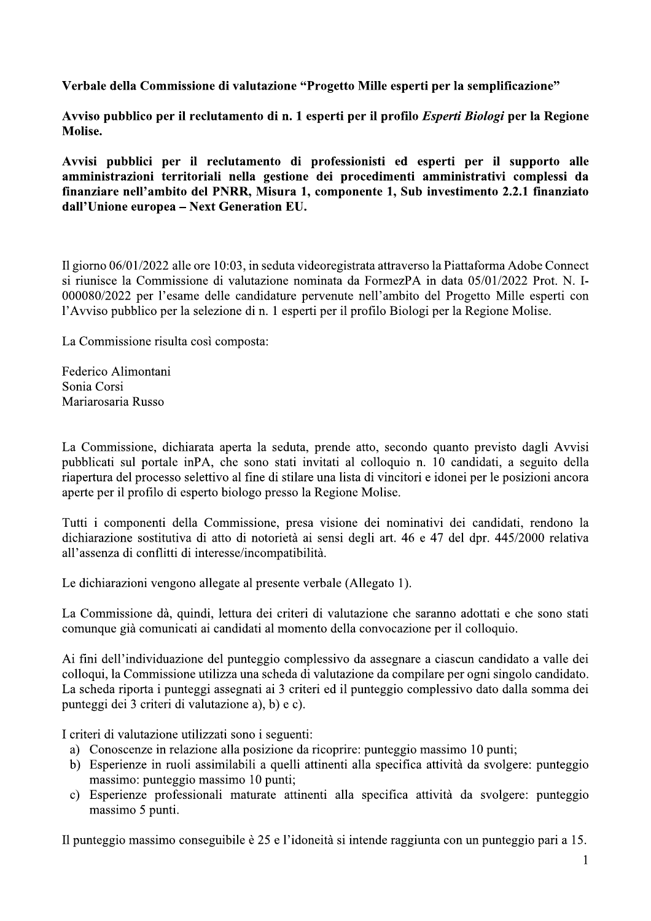Verbale della Commissione di valutazione "Progetto Mille esperti per la semplificazione"

Avviso pubblico per il reclutamento di n. 1 esperti per il profilo Esperti Biologi per la Regione Molise.

Avvisi pubblici per il reclutamento di professionisti ed esperti per il supporto alle amministrazioni territoriali nella gestione dei procedimenti amministrativi complessi da finanziare nell'ambito del PNRR, Misura 1, componente 1, Sub investimento 2.2.1 finanziato dall'Unione europea - Next Generation EU.

Il giorno 06/01/2022 alle ore 10:03, in seduta videoregistrata attraverso la Piattaforma Adobe Connect si riunisce la Commissione di valutazione nominata da FormezPA in data 05/01/2022 Prot. N. I-000080/2022 per l'esame delle candidature pervenute nell'ambito del Progetto Mille esperti con l'Avviso pubblico per la selezione di n. 1 esperti per il profilo Biologi per la Regione Molise.

La Commissione risulta così composta:

Federico Alimontani Sonia Corsi Mariarosaria Russo

La Commissione, dichiarata aperta la seduta, prende atto, secondo quanto previsto dagli Avvisi pubblicati sul portale inPA, che sono stati invitati al colloquio n. 10 candidati, a seguito della riapertura del processo selettivo al fine di stilare una lista di vincitori e idonei per le posizioni ancora aperte per il profilo di esperto biologo presso la Regione Molise.

Tutti i componenti della Commissione, presa visione dei nominativi dei candidati, rendono la dichiarazione sostitutiva di atto di notorietà ai sensi degli art. 46 e 47 del dpr. 445/2000 relativa all'assenza di conflitti di interesse/incompatibilità.

Le dichiarazioni vengono allegate al presente verbale (Allegato 1).

La Commissione dà, quindi, lettura dei criteri di valutazione che saranno adottati e che sono stati comunque già comunicati ai candidati al momento della convocazione per il colloquio.

Ai fini dell'individuazione del punteggio complessivo da assegnare a ciascun candidato a valle dei colloqui, la Commissione utilizza una scheda di valutazione da compilare per ogni singolo candidato. La scheda riporta i punteggi assegnati ai 3 criteri ed il punteggio complessivo dato dalla somma dei punteggi dei 3 criteri di valutazione a), b) e c).

I criteri di valutazione utilizzati sono i seguenti:

- a) Conoscenze in relazione alla posizione da ricoprire: punteggio massimo 10 punti;
- b) Esperienze in ruoli assimilabili a quelli attinenti alla specifica attività da svolgere: punteggio massimo: punteggio massimo 10 punti;
- c) Esperienze professionali maturate attinenti alla specifica attività da svolgere: punteggio massimo 5 punti.

Il punteggio massimo conseguibile è 25 e l'idoneità si intende raggiunta con un punteggio pari a 15.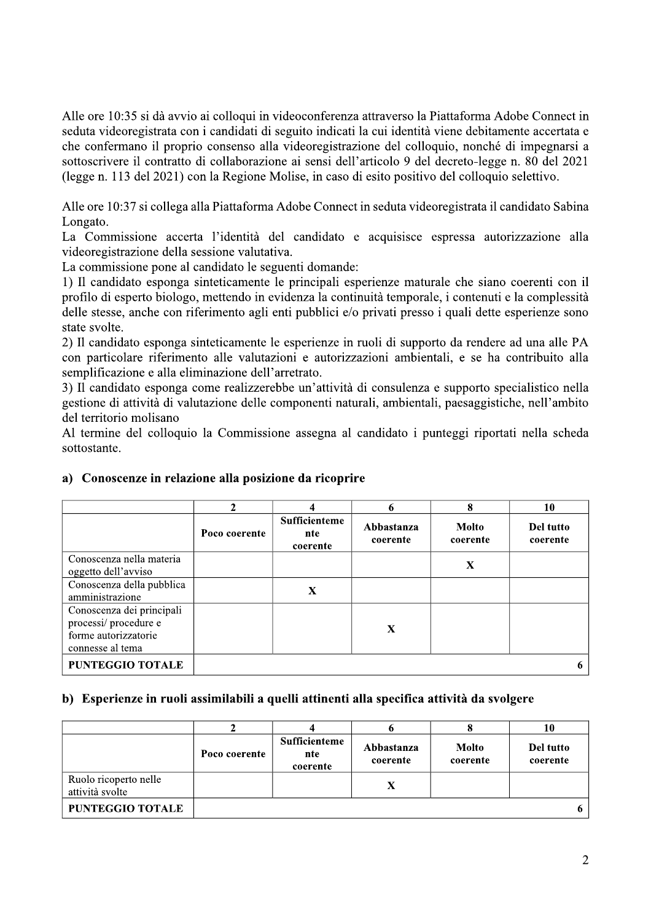Alle ore 10:35 si dà avvio ai colloqui in videoconferenza attraverso la Piattaforma Adobe Connect in seduta videoregistrata con i candidati di seguito indicati la cui identità viene debitamente accertata e che confermano il proprio consenso alla videoregistrazione del colloquio, nonché di impegnarsi a sottoscrivere il contratto di collaborazione ai sensi dell'articolo 9 del decreto-legge n. 80 del 2021 (legge n. 113 del 2021) con la Regione Molise, in caso di esito positivo del colloquio selettivo.

Alle ore 10:37 si collega alla Piattaforma Adobe Connect in seduta videoregistrata il candidato Sabina Longato.

La Commissione accerta l'identità del candidato e acquisisce espressa autorizzazione alla videoregistrazione della sessione valutativa.

La commissione pone al candidato le seguenti domande:

1) Il candidato esponga sinteticamente le principali esperienze maturale che siano coerenti con il profilo di esperto biologo, mettendo in evidenza la continuità temporale, i contenuti e la complessità delle stesse, anche con riferimento agli enti pubblici e/o privati presso i quali dette esperienze sono state svolte.

2) Il candidato esponga sinteticamente le esperienze in ruoli di supporto da rendere ad una alle PA con particolare riferimento alle valutazioni e autorizzazioni ambientali, e se ha contribuito alla semplificazione e alla eliminazione dell'arretrato.

3) Il candidato esponga come realizzerebbe un'attività di consulenza e supporto specialistico nella gestione di attività di valutazione delle componenti naturali, ambientali, paesaggistiche, nell'ambito del territorio molisano

Al termine del colloquio la Commissione assegna al candidato i punteggi riportati nella scheda sottostante.

|                                                                                               | ኅ             | 4                                       | 6                      | 8                 | 10                    |
|-----------------------------------------------------------------------------------------------|---------------|-----------------------------------------|------------------------|-------------------|-----------------------|
|                                                                                               | Poco coerente | <b>Sufficienteme</b><br>nte<br>coerente | Abbastanza<br>coerente | Molto<br>coerente | Del tutto<br>coerente |
| Conoscenza nella materia<br>oggetto dell'avviso                                               |               |                                         |                        | $\mathbf X$       |                       |
| Conoscenza della pubblica<br>amministrazione                                                  |               | X                                       |                        |                   |                       |
| Conoscenza dei principali<br>processi/procedure e<br>forme autorizzatorie<br>connesse al tema |               |                                         | $\mathbf X$            |                   |                       |
| <b>PUNTEGGIO TOTALE</b>                                                                       |               |                                         |                        |                   |                       |

## a) Conoscenze in relazione alla posizione da ricoprire

## b) Esperienze in ruoli assimilabili a quelli attinenti alla specifica attività da svolgere

|                                          | Poco coerente | <b>Sufficienteme</b><br>nte<br>coerente | Abbastanza<br>coerente | Molto<br>coerente | Del tutto<br>coerente |
|------------------------------------------|---------------|-----------------------------------------|------------------------|-------------------|-----------------------|
| Ruolo ricoperto nelle<br>attività svolte |               |                                         | X                      |                   |                       |
| <b>PUNTEGGIO TOTALE</b>                  |               |                                         |                        |                   |                       |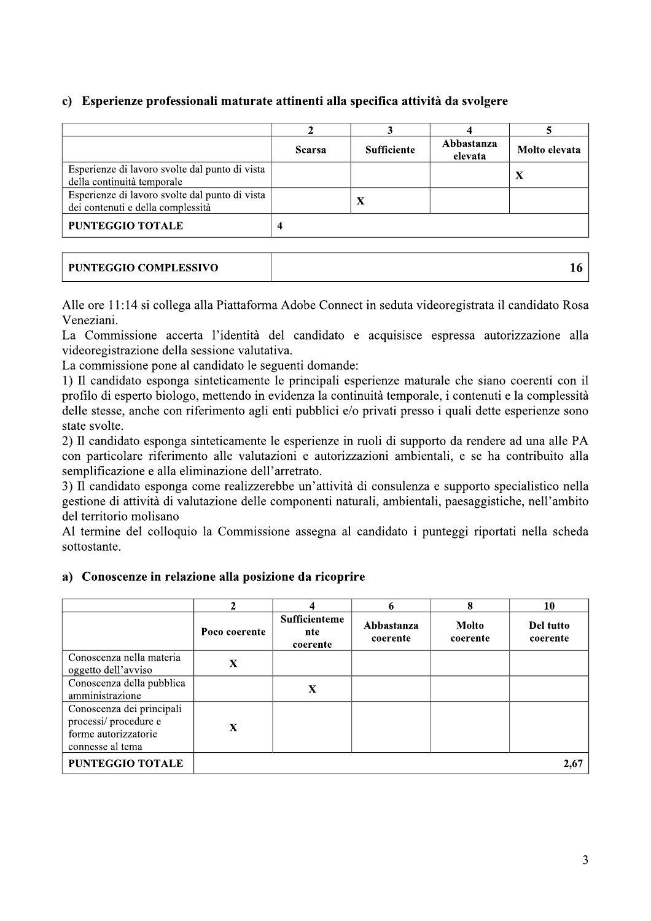# c) Esperienze professionali maturate attinenti alla specifica attività da svolgere

|                                                                                     | <b>Scarsa</b> | <b>Sufficiente</b> | Abbastanza<br>elevata | Molto elevata |
|-------------------------------------------------------------------------------------|---------------|--------------------|-----------------------|---------------|
| Esperienze di lavoro svolte dal punto di vista<br>della continuità temporale        |               |                    |                       | $\bf{X}$      |
| Esperienze di lavoro svolte dal punto di vista<br>dei contenuti e della complessità |               | X                  |                       |               |
| <b>PUNTEGGIO TOTALE</b>                                                             |               |                    |                       |               |

| PUNTEGGIO COMPLESSIVO |  |
|-----------------------|--|
|-----------------------|--|

Alle ore 11:14 si collega alla Piattaforma Adobe Connect in seduta videoregistrata il candidato Rosa Veneziani.

La Commissione accerta l'identità del candidato e acquisisce espressa autorizzazione alla videoregistrazione della sessione valutativa.

La commissione pone al candidato le seguenti domande:

1) Il candidato esponga sinteticamente le principali esperienze maturale che siano coerenti con il profilo di esperto biologo, mettendo in evidenza la continuità temporale, i contenuti e la complessità delle stesse, anche con riferimento agli enti pubblici e/o privati presso i quali dette esperienze sono state svolte.

2) Il candidato esponga sinteticamente le esperienze in ruoli di supporto da rendere ad una alle PA con particolare riferimento alle valutazioni e autorizzazioni ambientali, e se ha contribuito alla semplificazione e alla eliminazione dell'arretrato.

3) Il candidato esponga come realizzerebbe un'attività di consulenza e supporto specialistico nella gestione di attività di valutazione delle componenti naturali, ambientali, paesaggistiche, nell'ambito del territorio molisano

Al termine del colloquio la Commissione assegna al candidato i punteggi riportati nella scheda sottostante.

## a) Conoscenze in relazione alla posizione da ricoprire

|                                                                                               | $\mathbf 2$   | 4                                | 6                      | 8                        | 10                    |
|-----------------------------------------------------------------------------------------------|---------------|----------------------------------|------------------------|--------------------------|-----------------------|
|                                                                                               | Poco coerente | Sufficienteme<br>nte<br>coerente | Abbastanza<br>coerente | <b>Molto</b><br>coerente | Del tutto<br>coerente |
| Conoscenza nella materia<br>oggetto dell'avviso                                               | X             |                                  |                        |                          |                       |
| Conoscenza della pubblica<br>amministrazione                                                  |               | X                                |                        |                          |                       |
| Conoscenza dei principali<br>processi/procedure e<br>forme autorizzatorie<br>connesse al tema | X             |                                  |                        |                          |                       |
| <b>PUNTEGGIO TOTALE</b>                                                                       |               |                                  |                        |                          | 2,67                  |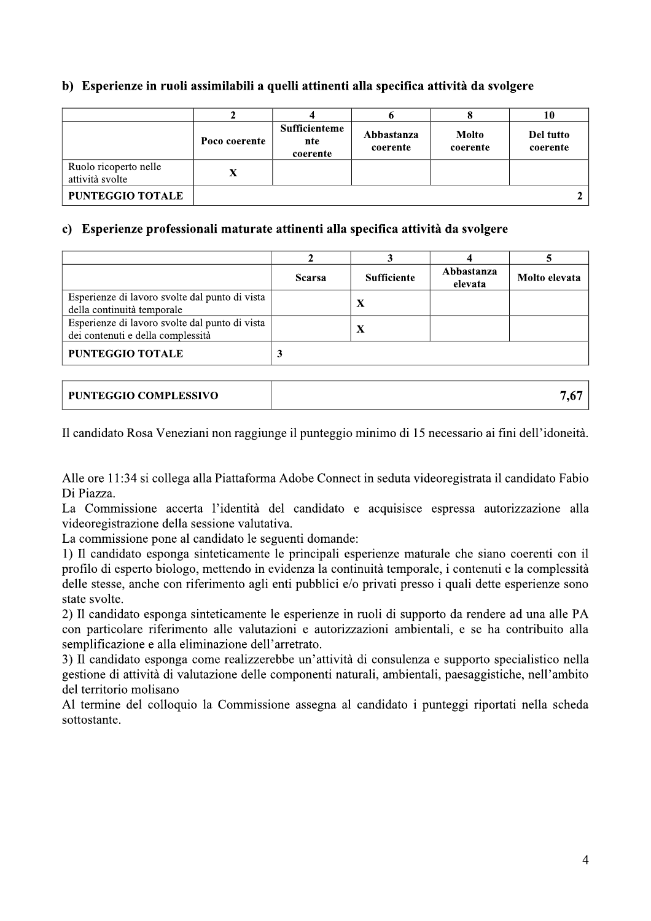# b) Esperienze in ruoli assimilabili a quelli attinenti alla specifica attività da svolgere

|                                          | Poco coerente | <b>Sufficienteme</b><br>nte<br>coerente | Abbastanza<br>coerente | <b>Molto</b><br>coerente | Del tutto<br>coerente |
|------------------------------------------|---------------|-----------------------------------------|------------------------|--------------------------|-----------------------|
| Ruolo ricoperto nelle<br>attività svolte | X             |                                         |                        |                          |                       |
| <b>PUNTEGGIO TOTALE</b>                  |               |                                         |                        |                          |                       |

#### c) Esperienze professionali maturate attinenti alla specifica attività da svolgere

|                                                                                     | <b>Scarsa</b> | <b>Sufficiente</b> | Abbastanza<br>elevata | Molto elevata |
|-------------------------------------------------------------------------------------|---------------|--------------------|-----------------------|---------------|
| Esperienze di lavoro svolte dal punto di vista<br>della continuità temporale        |               | X                  |                       |               |
| Esperienze di lavoro svolte dal punto di vista<br>dei contenuti e della complessità |               | X                  |                       |               |
| <b>PUNTEGGIO TOTALE</b>                                                             |               |                    |                       |               |

Il candidato Rosa Veneziani non raggiunge il punteggio minimo di 15 necessario ai fini dell'idoneità.

Alle ore 11:34 si collega alla Piattaforma Adobe Connect in seduta videoregistrata il candidato Fabio Di Piazza.

La Commissione accerta l'identità del candidato e acquisisce espressa autorizzazione alla videoregistrazione della sessione valutativa.

La commissione pone al candidato le seguenti domande:

1) Il candidato esponga sinteticamente le principali esperienze maturale che siano coerenti con il profilo di esperto biologo, mettendo in evidenza la continuità temporale, i contenuti e la complessità delle stesse, anche con riferimento agli enti pubblici e/o privati presso i quali dette esperienze sono state svolte.

2) Il candidato esponga sinteticamente le esperienze in ruoli di supporto da rendere ad una alle PA con particolare riferimento alle valutazioni e autorizzazioni ambientali, e se ha contribuito alla semplificazione e alla eliminazione dell'arretrato.

3) Il candidato esponga come realizzerebbe un'attività di consulenza e supporto specialistico nella gestione di attività di valutazione delle componenti naturali, ambientali, paesaggistiche, nell'ambito del territorio molisano

Al termine del colloquio la Commissione assegna al candidato i punteggi riportati nella scheda sottostante.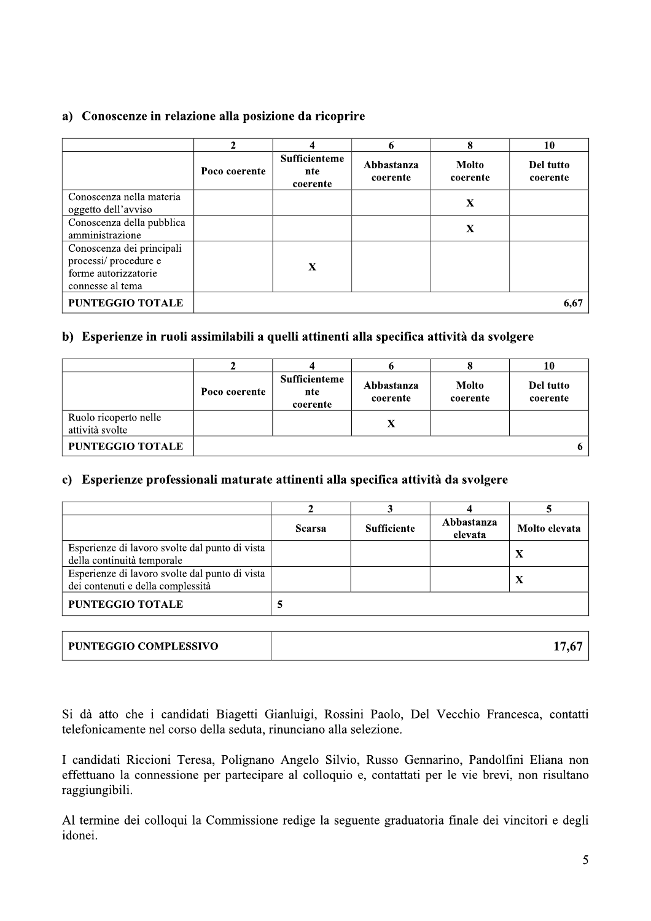## a) Conoscenze in relazione alla posizione da ricoprire

|                                                                                               | ◠             |                                         | 6                      | 8                 | 10                    |
|-----------------------------------------------------------------------------------------------|---------------|-----------------------------------------|------------------------|-------------------|-----------------------|
|                                                                                               | Poco coerente | <b>Sufficienteme</b><br>nte<br>coerente | Abbastanza<br>coerente | Molto<br>coerente | Del tutto<br>coerente |
| Conoscenza nella materia<br>oggetto dell'avviso                                               |               |                                         |                        | X                 |                       |
| Conoscenza della pubblica<br>amministrazione                                                  |               |                                         |                        | X                 |                       |
| Conoscenza dei principali<br>processi/procedure e<br>forme autorizzatorie<br>connesse al tema |               | X                                       |                        |                   |                       |
| <b>PUNTEGGIO TOTALE</b>                                                                       |               |                                         |                        |                   | 6,67                  |

# b) Esperienze in ruoli assimilabili a quelli attinenti alla specifica attività da svolgere

|                                          | Poco coerente | <b>Sufficienteme</b><br>nte<br>coerente | Abbastanza<br>coerente | <b>Molto</b><br>coerente | Del tutto<br>coerente |
|------------------------------------------|---------------|-----------------------------------------|------------------------|--------------------------|-----------------------|
| Ruolo ricoperto nelle<br>attività svolte |               |                                         |                        |                          |                       |
| <b>PUNTEGGIO TOTALE</b>                  |               |                                         |                        |                          |                       |

## c) Esperienze professionali maturate attinenti alla specifica attività da svolgere

|                                                                                     | <b>Scarsa</b> | <b>Sufficiente</b> | Abbastanza<br>elevata | Molto elevata |
|-------------------------------------------------------------------------------------|---------------|--------------------|-----------------------|---------------|
| Esperienze di lavoro svolte dal punto di vista<br>della continuità temporale        |               |                    |                       | -43           |
| Esperienze di lavoro svolte dal punto di vista<br>dei contenuti e della complessità |               |                    |                       |               |
| <b>PUNTEGGIO TOTALE</b>                                                             |               |                    |                       |               |

| PUNTEGGIO COMPLESSIVO |  |
|-----------------------|--|
|-----------------------|--|

Si dà atto che i candidati Biagetti Gianluigi, Rossini Paolo, Del Vecchio Francesca, contatti telefonicamente nel corso della seduta, rinunciano alla selezione.

I candidati Riccioni Teresa, Polignano Angelo Silvio, Russo Gennarino, Pandolfini Eliana non effettuano la connessione per partecipare al colloquio e, contattati per le vie brevi, non risultano raggiungibili.

Al termine dei colloqui la Commissione redige la seguente graduatoria finale dei vincitori e degli idonei.